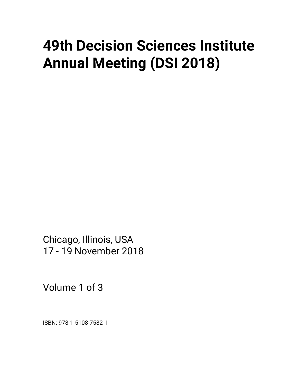## **49th Decision Sciences Institute Annual Meeting (DSI 2018)**

Chicago, Illinois, USA 17 - 19 November 2018

Volume 1 of 3

ISBN: 978-1-5108-7582-1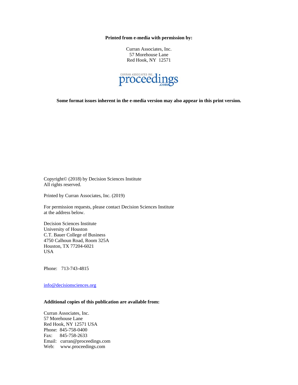**Printed from e-media with permission by:** 

Curran Associates, Inc. 57 Morehouse Lane Red Hook, NY 12571



**Some format issues inherent in the e-media version may also appear in this print version.** 

Copyright© (2018) by Decision Sciences Institute All rights reserved.

Printed by Curran Associates, Inc. (2019)

For permission requests, please contact Decision Sciences Institute at the address below.

Decision Sciences Institute University of Houston C.T. Bauer College of Business 4750 Calhoun Road, Room 325A Houston, TX 77204-6021 USA

Phone: 713-743-4815

info@decisionsciences.org

## **Additional copies of this publication are available from:**

Curran Associates, Inc. 57 Morehouse Lane Red Hook, NY 12571 USA Phone: 845-758-0400 Fax: 845-758-2633 Email: curran@proceedings.com Web: www.proceedings.com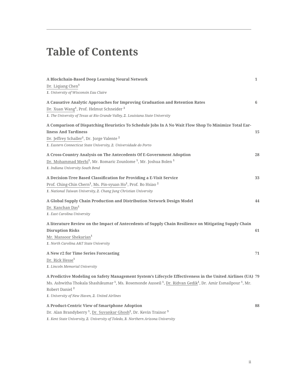## **Table of Contents**

| A Blockchain-Based Deep Learning Neural Network                                                                                                             | $\mathbf{1}$ |
|-------------------------------------------------------------------------------------------------------------------------------------------------------------|--------------|
| Dr. Liqiang Chen <sup>1</sup>                                                                                                                               |              |
| 1. University of Wisconsin Eau Claire                                                                                                                       |              |
| A Causative Analytic Approaches for Improving Graduation and Retention Rates                                                                                | 6            |
| Dr. Xuan Wang <sup>1</sup> , Prof. Helmut Schneider <sup>2</sup>                                                                                            |              |
| 1. The University of Texas at Rio Grande Valley, 2. Louisiana State University                                                                              |              |
| A Comparison of Dispatching Heuristics To Schedule Jobs In A No Wait Flow Shop To Minimize Total Ear-                                                       |              |
| <b>liness And Tardiness</b>                                                                                                                                 | 15           |
| Dr. Jeffrey Schaller <sup>1</sup> , Dr. Jorge Valente <sup>2</sup>                                                                                          |              |
| 1. Eastern Connecticut State University, 2. Universidade do Porto                                                                                           |              |
| A Cross-Country Analysis on The Antecedents Of E-Government Adoption                                                                                        | 28           |
| Dr. Mohammad Merhi <sup>1</sup> , Mr. Romaric Zounlome <sup>1</sup> , Mr. Joshua Bolen <sup>1</sup>                                                         |              |
| 1. Indiana University South Bend                                                                                                                            |              |
| A Decision-Tree Based Classification for Providing a E-Visit Service                                                                                        | 33           |
| Prof. Ching-Chin Chern <sup>1</sup> , Ms. Pin-syuan Ho <sup>1</sup> , Prof. Bo Hsiao <sup>2</sup>                                                           |              |
| 1. National Taiwan University, 2. Chang Jung Christian University                                                                                           |              |
| A Global Supply Chain Production and Distribution Network Design Model                                                                                      | 44           |
| Dr. Kanchan Das <sup>1</sup>                                                                                                                                |              |
| 1. East Carolina University                                                                                                                                 |              |
|                                                                                                                                                             |              |
| A literature Review on the Impact of Antecedents of Supply Chain Resilience on Mitigating Supply Chain                                                      |              |
| <b>Disruption Risks</b>                                                                                                                                     | 61           |
| Mr. Mansoor Shekarian <sup>1</sup><br>1. North Carolina A&T State University                                                                                |              |
|                                                                                                                                                             |              |
| A New r2 for Time Series Forecasting                                                                                                                        | 71           |
| Dr. Rick Hesse <sup>1</sup>                                                                                                                                 |              |
| 1. Lincoln Memorial University                                                                                                                              |              |
| A Predictive Modeling on Safety Management System's Lifecycle Effectiveness in the United Airlines (UA) 79                                                  |              |
| Ms. Ashwitha Thokala Shashikumar <sup>1</sup> , Ms. Rosemonde Ausseil <sup>1</sup> , Dr. Ridvan Gedik <sup>1</sup> , Dr. Amir Esmailpour <sup>1</sup> , Mr. |              |
| Robert Daniel <sup>2</sup>                                                                                                                                  |              |
| 1. University of New Haven, 2. United Airlines                                                                                                              |              |
| A Product-Centric View of Smartphone Adoption                                                                                                               | 88           |
| Dr. Alan Brandyberry <sup>1</sup> , Dr. Suvankar Ghosh <sup>2</sup> , Dr. Kevin Trainor <sup>3</sup>                                                        |              |
| 1. Kent State University, 2. University of Toledo, 3. Northern Arizona University                                                                           |              |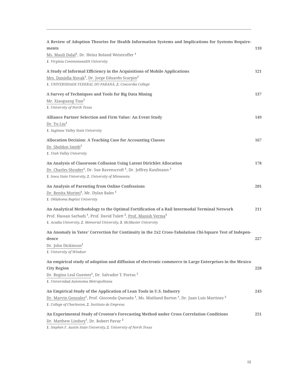| A Review of Adoption Theories for Health Information Systems and Implications for Systems Require-<br>ments<br>Ms. Mauli Dalal <sup>1</sup> , Dr. Heinz Roland Weistroffer <sup>1</sup><br>1. Virginia Commonwealth University                                                | 110 |
|-------------------------------------------------------------------------------------------------------------------------------------------------------------------------------------------------------------------------------------------------------------------------------|-----|
| A Study of Informal Efficiency in the Acquisitions of Mobile Applications<br>Mrs. Daniella Novak <sup>1</sup> , Dr. Jorge Eduardo Scarpin <sup>2</sup><br>1. UNIVERSIDADE FEDERAL DO PARANÁ, 2. Concordia College                                                             | 121 |
| A Survey of Techniques and Tools for Big Data Mining<br>Mr. Xiaoguang Tian <sup>1</sup><br>1. University of North Texas                                                                                                                                                       | 137 |
| <b>Alliance Partner Selection and Firm Value: An Event Study</b><br>Dr. Yu Liu <sup>1</sup><br>1. Saginaw Valley State University                                                                                                                                             | 149 |
| <b>Allocation Decision: A Teaching Case for Accounting Classes</b><br>Dr. Sheldon Smith <sup>1</sup><br>1. Utah Valley University                                                                                                                                             | 167 |
| An Analysis of Classroom Collusion Using Latent Dirichlet Allocation<br>Dr. Charles Shrader <sup>1</sup> , Dr. Sue Ravenscroft <sup>1</sup> , Dr. Jeffrey Kaufmann <sup>2</sup><br>1. Iowa State University, 2. University of Minnesota                                       | 178 |
| An Analysis of Parenting from Online Confessions<br>Dr. Renita Murimi <sup>1</sup> , Mr. Dylan Bales <sup>1</sup><br>1. Oklahoma Baptist University                                                                                                                           | 201 |
| An Analytical Methodology to the Optimal Fortification of a Rail Intermodal Terminal Network<br>Prof. Hassan Sarhadi <sup>1</sup> , Prof. David Tulett <sup>2</sup> , Prof. Manish Verma <sup>3</sup><br>1. Acadia University, 2. Memorial University, 3. McMaster University | 211 |
| An Anomaly in Yates' Correction for Continuity in the 2x2 Cross-Tabulation Chi-Square Test of Indepen-<br>dence<br>Dr. John Dickinson <sup>1</sup><br>1. University of Windsor                                                                                                | 227 |
| An empirical study of adoption and diffusion of electronic commerce in Large Enterprises in the Mexico<br><b>City Region</b><br>Dr. Regina Leal Guemez <sup>1</sup> , Dr. Salvador T. Porras <sup>1</sup><br>1. Universidad Autonoma Metropolitana                            | 228 |
| An Empirical Study of the Application of Lean Tools in U.S. Industry<br>Dr. Marvin Gonzalez <sup>1</sup> , Prof. Gioconda Quesada <sup>1</sup> , Ms. Maitland Barton <sup>1</sup> , Dr. Juan Luis Martinez <sup>2</sup><br>1. College of Charleston, 2. Instituto de Empresa  | 243 |
| An Experimental Study of Croston's Forecasting Method under Cross Correlation Conditions<br>Dr. Matthew Lindsey <sup>1</sup> , Dr. Robert Pavur <sup>2</sup><br>$\mathcal{L}_{\text{max}}$ of Manuel T.                                                                       | 251 |

*1. Stephen F. Austin State University, 2. University of North Texas*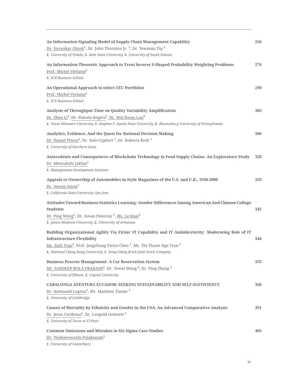| An Information Signaling Model of Supply Chain Management Capability<br>Dr. Suvankar Ghosh <sup>1</sup> , Dr. John Thornton Jr. <sup>2</sup> , Dr. Yewmun Yip <sup>3</sup><br>1. University of Toledo, 2. Kent State University, 3. University of South Dakota                                                                         | 256 |
|----------------------------------------------------------------------------------------------------------------------------------------------------------------------------------------------------------------------------------------------------------------------------------------------------------------------------------------|-----|
| An Information-Theoretic Approach to Treat Inverse S-Shaped Probability Weighting Problems<br>Prof. Michel Verlaine <sup>1</sup><br>1. ICN Business School                                                                                                                                                                             | 276 |
| An Operational Approach to select CEU Portfolios<br>Prof. Michel Verlaine <sup>1</sup><br>1. ICN Business School                                                                                                                                                                                                                       | 290 |
| Analysis of Throughput Time on Quality Variability Amplification<br>Dr. Zhen Li <sup>1</sup> , Dr. Pamela Rogers <sup>2</sup> , Dr. Wai Kwan Lau <sup>3</sup><br>1. Texas Woman's University, 2. Stephen F. Austin State University, 3. Bloomsburg University of Pennsylvania                                                          | 303 |
| Analytics, Evidence, And the Quest for Rational Decision Making<br>Dr. Daniel Power <sup>1</sup> , Dr. Dale Cyphert <sup>1</sup> , Dr. Roberta Roth <sup>1</sup><br>1. University of Northern Iowa                                                                                                                                     | 306 |
| Antecedents and Consequences of Blockchain Technology in Food Supply Chains: An Exploratory Study<br>Dr. Meenakshi Jakhar <sup>1</sup><br>1. Management Development Institute                                                                                                                                                          | 320 |
| Appeals to Ownership of Automobiles in Style Magazines of the U.S. and U.K., 1930-2000<br>Dr. Steven Silver <sup>1</sup><br>1. California State University, San Jose                                                                                                                                                                   | 329 |
| Attitudes Toward Business Statistics Learning: Gender Differences Among American And Chinese College<br><b>Students</b><br>Dr. Ping Wang <sup>1</sup> , Dr. Susan Palocsay <sup>1</sup> , Ms. Le Kuai <sup>2</sup><br>1. James Madison University, 2. University of Arkansas                                                           | 342 |
| Building Organizational Agility Via Firms' IT Capability and IT Ambidexterity: Moderating Role of IT<br><b>Infrastructure Flexibility</b><br>Ms. Sinh Tran <sup>1</sup> , Prof. Jengchung Victor Chen <sup>1</sup> , Ms. Thi Thanh Nga Tran <sup>2</sup><br>1. National Cheng Kung University, 2. Dong Giang Brick Joint Stock Company | 346 |
| <b>Business Process Management: A Car Reservation System</b><br>Mr. SANDEEP KOLA PRAKASH <sup>1</sup> , Dr. Tewei Wang <sup>1</sup> , Dr. Ping Zhang <sup>2</sup><br>1. University of Illinois, 2. Capital University                                                                                                                  | 355 |
| <b>CABALONGA AVENTURA ECUADOR: SEEKING SUSTAINABILITY AND SELF-SUFFICIENCY</b><br>Dr. Nathaniel Lupton <sup>1</sup> , Mr. Matthew Timler <sup>1</sup><br>1. University of Lethbridge                                                                                                                                                   | 368 |
| Causes of Mortality by Ethnicity and Gender in the USA: An Advanced Comparative Analysis<br>Dr. Jesus Cardenas <sup>1</sup> , Dr. Leopold Gemoets <sup>1</sup><br>1. University of Texas at El Paso                                                                                                                                    | 391 |
| <b>Common Omissions and Mistakes in Six Sigma Case Studies</b><br>Dr. Venkateswarlu Pulakanam <sup>1</sup><br>1. University of Canterbury                                                                                                                                                                                              | 403 |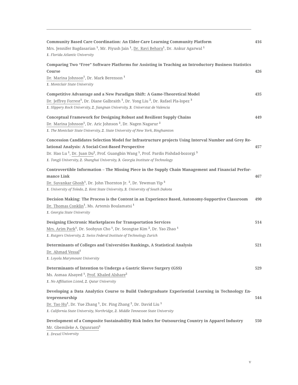| <b>Community Based Care Coordination: An Elder-Care Learning Community Platform</b><br>Mrs. Jennifer Bagdasarian <sup>1</sup> , Mr. Piyush Jain <sup>1</sup> , Dr. Ravi Behara <sup>1</sup> , Dr. Ankur Agarwal <sup>1</sup><br>1. Florida Atlantic University                                                                                                                      | 416 |
|-------------------------------------------------------------------------------------------------------------------------------------------------------------------------------------------------------------------------------------------------------------------------------------------------------------------------------------------------------------------------------------|-----|
| Comparing Two "Free" Software Platforms for Assisting in Teaching an Introductory Business Statistics<br>Course<br>Dr. Marina Johnson <sup>1</sup> , Dr. Mark Berenson <sup>1</sup><br>1. Montclair State University                                                                                                                                                                | 426 |
| Competitive Advantage and a New Paradigm Shift: A Game-Theoretical Model<br>Dr. Jeffrey Forrest <sup>1</sup> , Dr. Diane Galbraith <sup>1</sup> , Dr. Yong Liu <sup>2</sup> , Dr. Rafael Pla-lopez <sup>3</sup><br>1. Slippery Rock University, 2. Jiangnan University, 3. Universtat de Valencia                                                                                   | 435 |
| <b>Conceptual Framework for Designing Robust and Resilient Supply Chains</b><br>Dr. Marina Johnson <sup>1</sup> , Dr. Aric Johnson <sup>2</sup> , Dr. Nagen Nagarur <sup>2</sup><br>1. The Montclair State University, 2. State University of New York, Binghamton                                                                                                                  | 449 |
| Concession Candidates Selection Model for Infrastructure projects Using Interval Number and Grey Re-<br>lational Analysis: A Social-Cost-Based Perspective<br>Dr. Hao Lu <sup>1</sup> , Dr. Juan Du <sup>2</sup> , Prof. Guangbin Wang <sup>1</sup> , Prof. Pardis Pishdad-bozorgi <sup>3</sup><br>1. Tongji University, 2. Shanghai University, 3. Georgia Institute of Technology | 457 |
| Controvertible Information - The Missing Piece in the Supply Chain Management and Financial Perfor-<br>mance Link<br>Dr. Suvankar Ghosh <sup>1</sup> , Dr. John Thornton Jr. <sup>2</sup> , Dr. Yewmun Yip <sup>3</sup><br>1. University of Toledo, 2. Kent State University, 3. University of South Dakota                                                                         | 467 |
| Decision Making: The Process is the Content in an Experience Based, Autonomy-Supportive Classroom<br>Dr. Thomas Conklin <sup>1</sup> , Ms. Artemis Boulamatsi <sup>1</sup><br>1. Georgia State University                                                                                                                                                                           | 490 |
| <b>Designing Electronic Marketplaces for Transportation Services</b><br>Mrs. Arim Park <sup>1</sup> , Dr. Soohyun Cho <sup>1</sup> , Dr. Seongtae Kim <sup>2</sup> , Dr. Yao Zhao <sup>1</sup><br>1. Rutgers University, 2. Swiss Federal Institute of Technology Zurich                                                                                                            | 514 |
| Determinants of Colleges and Universities Rankings, A Statistical Analysis<br>Dr. Ahmad Vessal <sup>1</sup><br>1. Loyola Marymount University                                                                                                                                                                                                                                       | 521 |
| Determinants of Intention to Undergo a Gastric Sleeve Surgery (GSS)<br>Ms. Asmaa Alsayed <sup>1</sup> , Prof. Khaled Alshare <sup>2</sup><br>1. No Affiliation Listed, 2. Qatar University                                                                                                                                                                                          | 529 |
| Developing a Data Analytics Course to Build Undergraduate Experiential Learning in Technology En-<br>trepreneurship<br>Dr. Tao Hu <sup>1</sup> , Dr. Yue Zhang <sup>1</sup> , Dr. Ping Zhang <sup>2</sup> , Dr. David Liu <sup>1</sup><br>1. California State University, Northridge, 2. Middle Tennessee State University                                                          | 544 |
| Development of a Composite Sustainability Risk Index for Outsourcing Country in Apparel Industry<br>Mr. Gbemileke A. Ogunranti <sup>1</sup><br>1. Drexel University                                                                                                                                                                                                                 | 550 |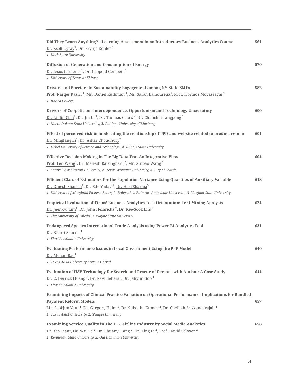| Did They Learn Anything? - Learning Assessment in an Introductory Business Analytics Course<br>Dr. Zsolt Ugray <sup>1</sup> , Dr. Brynja Kohler <sup>1</sup><br>1. Utah State University                                                                                                                                            | 561 |
|-------------------------------------------------------------------------------------------------------------------------------------------------------------------------------------------------------------------------------------------------------------------------------------------------------------------------------------|-----|
| Diffusion of Generation and Consumption of Energy<br>Dr. Jesus Cardenas <sup>1</sup> , Dr. Leopold Gemoets <sup>1</sup><br>1. University of Texas at El Paso                                                                                                                                                                        | 570 |
| Drivers and Barriers to Sustainability Engagement among NY State SMEs<br>Prof. Narges Kasiri <sup>1</sup> , Mr. Daniel Ruthman <sup>1</sup> , Ms. Sarah Lamoureux <sup>1</sup> , Prof. Hormoz Movassaghi <sup>1</sup><br>1. Ithaca College                                                                                          | 582 |
| Drivers of Coopetition: Interdependence, Opportunism and Technology Uncertainty<br>Dr. Linlin Chai <sup>1</sup> , Dr. Jin Li <sup>1</sup> , Dr. Thomas Clauß <sup>2</sup> , Dr. Chanchai Tangpong <sup>1</sup><br>1. North Dakota State University, 2. Philipps-University of Marburg                                               | 600 |
| Effect of perceived risk in moderating the relationship of PPD and website related to product return<br>Dr. Mingfang Li <sup>1</sup> , Dr. Askar Choudhury <sup>2</sup><br>1. Hebei University of Science and Technology, 2. Illinois State University                                                                              | 601 |
| Effective Decision Making in The Big Data Era: An Integrative View<br>Prof. Fen Wang <sup>1</sup> , Dr. Mahesh Raisinghani <sup>2</sup> , Mr. Xinbao Wang <sup>3</sup><br>1. Central Washington University, 2. Texas Woman's University, 3. City of Seattle                                                                         | 604 |
| Efficient Class of Estimators for the Population Variance Using Quartiles of Auxiliary Variable<br>Dr. Dinesh Sharma <sup>1</sup> , Dr. S.K. Yadav <sup>2</sup> , Dr. Hari Sharma <sup>3</sup><br>1. University of Maryland Eastern Shore, 2. Babasaheb Bhimrao Ambedkar University, 3. Virginia State University                   | 618 |
| Empirical Evaluation of Firms' Business Analytics Task Orientation: Text Mining Analysis<br>Dr. Jeen-Su Lim <sup>1</sup> , Dr. John Heinrichs <sup>2</sup> , Dr. Kee-Sook Lim <sup>1</sup><br>1. The University of Toledo, 2. Wayne State University                                                                                | 624 |
| Endangered Species International Trade Analysis using Power BI Analytics Tool<br>Dr. Bharti Sharma <sup>1</sup><br>1. Florida Atlantic University                                                                                                                                                                                   | 631 |
| Evaluating Performance Issues in Local Government Using the PPP Model<br>Dr. Mohan Rao <sup>1</sup><br>1. Texas A&M University-Corpus Christi                                                                                                                                                                                       | 640 |
| Evaluation of UAV Technology for Search-and-Rescue of Persons with Autism: A Case Study<br>Dr. C. Derrick Huang <sup>1</sup> , Dr. Ravi Behara <sup>1</sup> , Dr. Jahyun Goo <sup>1</sup><br>1. Florida Atlantic University                                                                                                         | 644 |
| Examining Impacts of Clinical Practice Variation on Operational Performance: Implications for Bundled<br><b>Payment Reform Models</b><br>Mr. Seokjun Youn <sup>1</sup> , Dr. Gregory Heim <sup>1</sup> , Dr. Subodha Kumar <sup>2</sup> , Dr. Chelliah Sriskandarajah <sup>1</sup><br>1. Texas A&M University, 2. Temple University | 657 |
| Examining Service Quality in The U.S. Airline Industry by Social Media Analytics<br>Dr. Xin Tian <sup>1</sup> , Dr. Wu He <sup>2</sup> , Dr. Chuanyi Tang <sup>2</sup> , Dr. Ling Li <sup>2</sup> , Prof. David Selover <sup>2</sup>                                                                                                | 658 |

*1. Kennesaw State University, 2. Old Dominion University*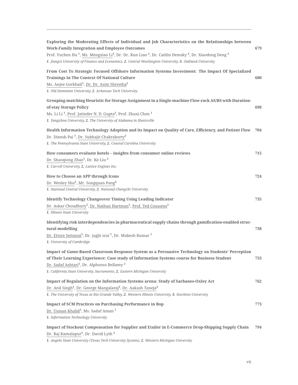| Exploring the Moderating Effects of Individual and Job Characteristics on the Relationships between<br><b>Work-Family Integration and Employee Outcomes</b><br>Prof. Yuchen Hu <sup>1</sup> , Ms. Mengxiao Li <sup>1</sup> , Dr. Dr. Kun Liao <sup>2</sup> , Dr. Caitlin Demsky <sup>3</sup> , Dr. Xiaodong Deng <sup>3</sup><br>1. Jiangxi University of Finance and Economics, 2. Central Washington University, 3. Oakland University | 679 |
|------------------------------------------------------------------------------------------------------------------------------------------------------------------------------------------------------------------------------------------------------------------------------------------------------------------------------------------------------------------------------------------------------------------------------------------|-----|
| From Cost To Strategic Focused Offshore Information Systems Investment: The Impact Of Specialized<br><b>Trainings In The Context Of National Culture</b><br>Ms. Anjee Gorkhali <sup>1</sup> , Dr. Dr. Asim Shrestha <sup>2</sup><br>1. Old Dominion University, 2. Arkansas Tech University                                                                                                                                              | 680 |
| Grouping-matching Heuristic for Storage Assignment in a Single-machine Flow-rack AS/RS with Duration-<br>of-stay Storage Policy<br>Ms. Li Li <sup>1</sup> , Prof. Jatinder N. D. Gupta <sup>2</sup> , Prof. Zhuxi Chen <sup>1</sup><br>1. Yangzhou University, 2. The University of Alabama in Huntsville                                                                                                                                | 698 |
| Health Information Technology Adoption and its Impact on Quality of Care, Efficiency, and Patient Flow<br>Dr. Dinesh Pai <sup>1</sup> , Dr. Subhajit Chakraborty <sup>2</sup><br>1. The Pennsylvania State University, 2. Coastal Carolina University                                                                                                                                                                                    | 704 |
| How consumers evaluate hotels - insights from consumer online reviews<br>Dr. Shaoqiong Zhao <sup>1</sup> , Dr. Ke Liu <sup>2</sup><br>1. Carroll University, 2. Lattice Engines Inc.                                                                                                                                                                                                                                                     | 715 |
| How to Choose an APP through Icons<br>Dr. Wesley Shu <sup>1</sup> , Mr. Songquan Pang <sup>2</sup><br>1. National Central University, 2. National Chengchi University                                                                                                                                                                                                                                                                    | 724 |
| <b>Identify Technology Changeover Timing Using Leading Indicator</b><br>Dr. Askar Choudhury <sup>1</sup> , Dr. Nathan Hartman <sup>1</sup> , Prof. Ted Coussens <sup>1</sup><br>1. Illinois State University                                                                                                                                                                                                                             | 735 |
| Identifying risk interdependencies in pharmaceutical supply chains through gamification-enabled struc-<br>tural modelling<br>Dr. Ettore Settanni <sup>1</sup> , Dr. jagjit srai <sup>1</sup> , Dr. Mukesh Kumar <sup>1</sup><br>1. University of Cambridge                                                                                                                                                                               | 738 |
| Impact of Game-Based Classroom Response System as a Persuasive Technology on Students' Perception<br>of Their Learning Experience: Case study of Information Systems course for Business Student<br>Dr. Sadaf Ashtari <sup>1</sup> , Dr. Alphonso Bellamy <sup>2</sup><br>1. California State University, Sacramento, 2. Eastern Michigan University                                                                                     | 753 |
| Impact of Regulation on the Information Systems arena: Study of Sarbanes-Oxley Act<br>Dr. Anil Singh <sup>1</sup> , Dr. George Mangalaraj <sup>2</sup> , Dr. Aakash Taneja <sup>3</sup><br>1. The University of Texas at Rio Grande Valley, 2. Western Illinois University, 3. Stockton University                                                                                                                                       | 762 |
| <b>Impact of SCM Practices on Purchasing Performance in Bop</b><br>Dr. Usman Khalid <sup>1</sup> , Ms. Sadaf Aman <sup>1</sup><br>1. Information Technology University                                                                                                                                                                                                                                                                   | 773 |
| Impact of Stockout Compensation for Supplier and Etailer in E-Commerce Drop-Shipping Supply Chain<br>Dr. Raj Kamalapur <sup>1</sup> , Dr. David Lyth <sup>2</sup><br>1. Angelo State University (Texas Tech University System), 2. Western Michigan University                                                                                                                                                                           | 794 |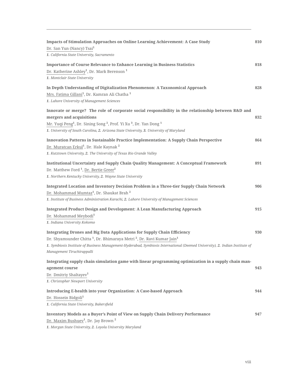| Impacts of Stimulation Approaches on Online Learning Achievement: A Case Study<br>Dr. San Yun (Nancy) Tsai <sup>1</sup><br>1. California State University, Sacramento                                                                                                                                                                                      | 810 |
|------------------------------------------------------------------------------------------------------------------------------------------------------------------------------------------------------------------------------------------------------------------------------------------------------------------------------------------------------------|-----|
| <b>Importance of Course Relevance to Enhance Learning in Business Statistics</b><br>Dr. Katherine Ashley <sup>1</sup> , Dr. Mark Berenson <sup>1</sup><br>1. Montclair State University                                                                                                                                                                    | 818 |
| In Depth Understanding of Digitalization Phenomenon: A Taxonomical Approach<br>Mrs. Fatima Gillani <sup>1</sup> , Dr. Kamran Ali Chatha <sup>1</sup><br>1. Lahore University of Management Sciences                                                                                                                                                        | 828 |
| Innovate or merge? The role of corporate social responsibility in the relationship between R&D and<br>mergers and acquisitions<br>Mr. Yuqi Peng <sup>1</sup> , Dr. Sining Song <sup>2</sup> , Prof. Yi Xu <sup>3</sup> , Dr. Yan Dong <sup>1</sup><br>1. University of South Carolina, 2. Arizona State University, 3. University of Maryland              | 832 |
| Innovation Patterns in Sustainable Practice Implementation: A Supply Chain Perspective<br>Dr. Muratcan Erkul <sup>1</sup> , Dr. Hale Kaynak <sup>2</sup><br>1. Kutztown University, 2. The University of Texas Rio Grande Valley                                                                                                                           | 864 |
| Institutional Uncertainty and Supply Chain Quality Management: A Conceptual Framework<br>Dr. Matthew Ford <sup>1</sup> , Dr. Bertie Greer <sup>2</sup><br>1. Northern Kentucky University, 2. Wayne State University                                                                                                                                       | 891 |
| Integrated Location and Inventory Decision Problem in a Three-tier Supply Chain Network<br>Dr. Mohammad Mumtaz <sup>1</sup> , Dr. Shaukat Brah <sup>2</sup><br>1. Institute of Business Administration Karachi, 2. Lahore University of Management Sciences                                                                                                | 906 |
| Integrated Product Design and Development: A Lean Manufacturing Approach<br>Dr. Mohammad Meybodi <sup>1</sup><br>1. Indiana University Kokomo                                                                                                                                                                                                              | 915 |
| <b>Integrating Drones and Big Data Applications for Supply Chain Efficiency</b><br>Dr. Shyamsunder Chitta <sup>1</sup> , Dr. Bhimaraya Metri <sup>2</sup> , Dr. Ravi Kumar Jain <sup>1</sup><br>1. Symbiosis Institute of Business Management-Hyderabad, Symbiosis International (Deemed University), 2. Indian Institute of<br>Management Tiruchirappalli | 930 |
| Integrating supply chain simulation game with linear programming optimization in a supply chain man-<br>agement course<br>Dr. Dmitriy Shaltayev <sup>1</sup><br>1. Christopher Newport University                                                                                                                                                          | 943 |
| <b>Introducing E-health into your Organization: A Case-based Approach</b><br>Dr. Hossein Bidgoli <sup>1</sup><br>1. California State University, Bakersfield                                                                                                                                                                                               | 944 |
| Inventory Models as a Buyer's Point of View on Supply Chain Delivery Performance<br>Dr. Maxim Bushuev <sup>1</sup> , Dr. Jay Brown <sup>2</sup><br>1 Morgan State University 2 Lough University Mamuland                                                                                                                                                   | 947 |

*1. Morgan State University, 2. Loyola University Maryland*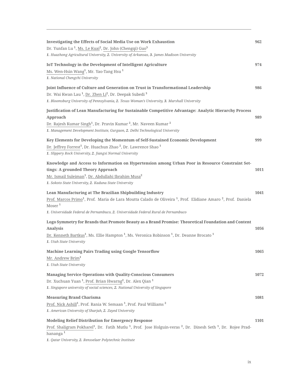| Investigating the Effects of Social Media Use on Work Exhaustion                                                                                                                                                                                                                                                          | 962  |
|---------------------------------------------------------------------------------------------------------------------------------------------------------------------------------------------------------------------------------------------------------------------------------------------------------------------------|------|
| Dr. Yunfan Lu <sup>1</sup> , Ms. Le Kuai <sup>2</sup> , Dr. John (Chengqi) Guo <sup>3</sup><br>1. Huazhong Agricultural University, 2. University of Arkansas, 3. James Madison University                                                                                                                                |      |
| <b>IoT Technology in the Development of Intelligent Agriculture</b><br>Ms. Wen-Hsin Wang <sup>1</sup> , Mr. Yao-Tang Hsu <sup>1</sup><br>1. National Chengchi University                                                                                                                                                  | 974  |
| Joint Influence of Culture and Generation on Trust in Transformational Leadership<br>Dr. Wai Kwan Lau <sup>1</sup> , Dr. Zhen Li <sup>2</sup> , Dr. Deepak Subedi <sup>3</sup><br>1. Bloomsburg University of Pennsylvania, 2. Texas Woman's University, 3. Marshall University                                           | 986  |
| Justification of Lean Manufacturing for Sustainable Competitive Advantage: Analytic Hierarchy Process<br>Approach<br>Dr. Rajesh Kumar Singh <sup>1</sup> , Dr. Pravin Kumar <sup>2</sup> , Mr. Naveen Kumar <sup>2</sup><br>1. Management Development Institute, Gurgaon, 2. Delhi Technological University               | 989  |
| Key Elements for Developing the Momentum of Self-Sustained Economic Development<br>Dr. Jeffrey Forrest <sup>1</sup> , Dr. Huachun Zhao <sup>2</sup> , Dr. Lawrence Shao <sup>1</sup><br>1. Slippery Rock University, 2. Jiangxi Normal University                                                                         | 999  |
| Knowledge and Access to Information on Hypertension among Urban Poor in Resource Constraint Set-<br>tings: A grounded Theory Approach<br>Mr. Ismail Suleiman <sup>1</sup> , Dr. Abdullahi Ibrahim Musa <sup>2</sup><br>1. Sokoto State University, 2. Kaduna State University                                             | 1011 |
| Lean Manufacturing at The Brazilian Shipbuilding Industry<br>Prof. Marcos Primo <sup>1</sup> , Prof. Maria de Lara Moutta Calado de Oliveira <sup>1</sup> , Prof. Elidiane Amaro <sup>2</sup> , Prof. Daniela<br>Moser <sup>1</sup><br>1. Universidade Federal de Pernambuco, 2. Universidade Federal Rural de Pernambuco | 1041 |
| Logo Symmetry for Brands that Promote Beauty as a Brand Promise: Theoretical Foundation and Content<br>Analysis<br>Dr. Kenneth Bartkus <sup>1</sup> , Ms. Ellie Hampton <sup>1</sup> , Ms. Veronica Robinson <sup>1</sup> , Dr. Deanne Brocato <sup>1</sup><br>1. Utah State University                                   | 1056 |
| <b>Machine Learning Pairs Trading using Google Tensorflow</b><br>Mr. Andrew Brim <sup>1</sup><br>1. Utah State University                                                                                                                                                                                                 | 1065 |
| <b>Managing Service Operations with Quality-Conscious Consumers</b><br>Dr. Xuchuan Yuan <sup>1</sup> , Prof. Brian Hwarng <sup>2</sup> , Dr. Alex Qian <sup>1</sup><br>1. Singapore university of social sciences, 2. National University of Singapore                                                                    | 1072 |
| <b>Measuring Brand Charisma</b><br>Prof. Nick Ashill <sup>1</sup> , Prof. Rania W. Semaan <sup>1</sup> , Prof. Paul Williams <sup>2</sup><br>1. American University of Sharjah, 2. Zayed University                                                                                                                       | 1081 |
| <b>Modeling Relief Distribution for Emergency Response</b><br>Prof. Shaligram Pokharel <sup>1</sup> , Dr. Fatih Mutlu <sup>1</sup> , Prof. Jose Holguin-veras <sup>2</sup> , Dr. Dinesh Seth <sup>1</sup> , Dr. Rojee Prad-<br>hananga <sup>1</sup>                                                                       | 1101 |

*1. Qatar University, 2. Rensselaer Polytechnic Institute*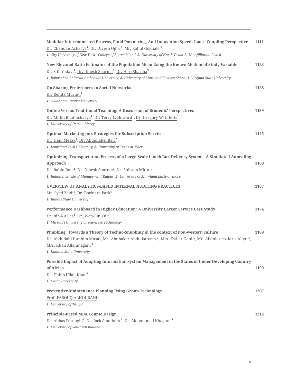| Modular Interconnected Process, Fluid Partnering, And Innovation Speed: Loose Coupling Perspective<br>Dr. Chandan Acharya <sup>1</sup> , Dr. Divesh Ojha <sup>2</sup> , Mr. Rahul Gokhale <sup>3</sup><br>1. City University of New York - College of Staten Island, 2. University of North Texas, 3. No Affiliation Listed | 1111 |
|-----------------------------------------------------------------------------------------------------------------------------------------------------------------------------------------------------------------------------------------------------------------------------------------------------------------------------|------|
| New Elevated Ratio Estimator of the Population Mean Using the Known Median of Study Variable<br>Dr. S.K. Yadav <sup>1</sup> , Dr. Dinesh Sharma <sup>2</sup> , Dr. Hari Sharma <sup>3</sup><br>1. Babasaheb Bhimrao Ambedkar University, 2. University of Maryland Eastern Shore, 3. Virginia State University              | 1123 |
| On Sharing Preferences in Social Networks<br>Dr. Renita Murimi <sup>1</sup><br>1. Oklahoma Baptist University                                                                                                                                                                                                               | 1128 |
| Online Versus Traditional Teaching: A Discussion of Students' Perspectives<br>Dr. Mithu Bhattacharya <sup>1</sup> , Dr. Terry L. Howard <sup>1</sup> , Dr. Gregory W. Ulferts <sup>1</sup><br>1. University of Detroit Mercy                                                                                                | 1139 |
| <b>Optimal Marketing-mix Strategies for Subscription Services</b><br>Dr. Hani Mesak <sup>1</sup> , Dr. Abdullahel Bari <sup>2</sup><br>1. Louisiana Tech University, 2. University of Texas at Tyler                                                                                                                        | 1145 |
| Optimizing Transportation Process of a Large-Scale Lunch Box Delivery System - A Simulated Annealing<br>Approach<br>Dr. Rabin Jana <sup>1</sup> , Dr. Dinesh Sharma <sup>2</sup> , Dr. Subrata Mitra <sup>1</sup><br>1. Indian Institute of Management Raipur, 2. University of Maryland Eastern Shore                      | 1160 |
| <b>OVERVIEW OF ANALYTICS-BASED INTERNAL AUDITING PRACTICES</b><br>Mr. Syed Zaidi <sup>1</sup> , Dr. Borinara Park <sup>1</sup><br>1. Illinois State University                                                                                                                                                              | 1167 |
| Performance Dashboard in Higher Education: A University Career Service Case Study<br>Dr. Bih-Ru Lea <sup>1</sup> , Dr. Wen-Bin Yu <sup>1</sup><br>1. Missouri University of Science & Technology                                                                                                                            | 1174 |
| Phubbing: Towards a Theory of Techno-Snubbing in the context of non-western culture<br>Dr. Abdullahi Ibrahim Musa <sup>1</sup> , Mr. Abubakar Abdulkareem <sup>1</sup> , Mrs. Esther Gani <sup>1</sup> , Mr. Abdulazeez Idris Aliyu <sup>1</sup> ,<br>Mrs. Khali Allahmagani <sup>1</sup><br>1. Kaduna State University     | 1189 |
| Possible Impact of Adopting Information System Management in the States of Under Developing Country<br>of Africa<br>Dr. Habib Ullah Khan <sup>1</sup><br>1. Qatar University                                                                                                                                                | 1199 |
| <b>Preventive Maintenance Planning Using Group Technology</b><br>Prof. FAROUQ ALHOURANI <sup>1</sup><br>1. University of Tampa                                                                                                                                                                                              | 1207 |
| <b>Principle-Based MBA Course Design</b><br>Dr. Abbas Foroughi <sup>1</sup> , Dr. Jack Smothers <sup>1</sup> , Dr. Mohammed Khayum <sup>1</sup><br>1. University of Southern Indiana                                                                                                                                        | 1212 |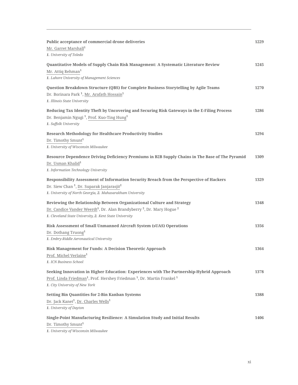| Public acceptance of commercial drone deliveries<br>Mr. Garret Marshall <sup>1</sup><br>1. University of Toledo                                                                                                                               | 1229 |
|-----------------------------------------------------------------------------------------------------------------------------------------------------------------------------------------------------------------------------------------------|------|
| Quantitative Models of Supply Chain Risk Management: A Systematic Literature Review<br>Mr. Attiq Rehman <sup>1</sup><br>1. Lahore University of Management Sciences                                                                           | 1245 |
| Question Breakdown Structure (QBS) for Complete Business Storytelling by Agile Teams<br>Dr. Borinara Park <sup>1</sup> , Mr. Arafath Hossain <sup>1</sup><br>1. Illinois State University                                                     | 1270 |
| Reducing Tax Identity Theft by Uncovering and Securing Risk Gateways in the E-Filing Process<br>Dr. Benjamin Ngugi <sup>1</sup> , Prof. Kuo-Ting Hung <sup>1</sup><br>1. Suffolk University                                                   | 1286 |
| <b>Research Methodology for Healthcare Productivity Studies</b><br>Dr. Timothy Smunt <sup>1</sup><br>1. University of Wisconsin Milwaukee                                                                                                     | 1294 |
| Resource Dependence Driving Deficiency Premiums in B2B Supply Chains in The Base of The Pyramid<br>Dr. Usman Khalid <sup>1</sup><br>1. Information Technology University                                                                      | 1309 |
| Responsibility Assessment of Information Security Breach from the Perspective of Hackers<br>Dr. Siew Chan <sup>1</sup> , Dr. Suparak Janjarasjit <sup>2</sup><br>1. University of North Georgia, 2. Mahasarakham University                   | 1329 |
| Reviewing the Relationship Between Organizational Culture and Strategy<br>Dr. Candice Vander Weerdt <sup>1</sup> , Dr. Alan Brandyberry <sup>2</sup> , Dr. Mary Hogue <sup>2</sup><br>1. Cleveland State University, 2. Kent State University | 1348 |
| Risk Assessment of Small Unmanned Aircraft System (sUAS) Operations<br>Dr. Dothang Truong <sup>1</sup><br>1. Embry-Riddle Aeronautical University                                                                                             | 1356 |
| <b>Risk Management for Funds: A Decision Theoretic Approach</b><br>Prof. Michel Verlaine <sup>1</sup><br>1. ICN Business School                                                                                                               | 1364 |
| Seeking Innovation in Higher Education: Experiences with The Partnership-Hybrid Approach<br>Prof. Linda Friedman <sup>1</sup> , Prof. Hershey Friedman <sup>1</sup> , Dr. Martin Frankel <sup>1</sup><br>1. City University of New York       | 1378 |
| <b>Setting Bin Quantities for 2-Bin Kanban Systems</b><br>Dr. Jack Kanet <sup>1</sup> , Dr. Charles Wells <sup>1</sup><br>1. University of Dayton                                                                                             | 1388 |
| Single-Point Manufacturing Resilience: A Simulation Study and Initial Results<br>Dr. Timothy Smunt <sup>1</sup><br>1. University of Wisconsin Milwaukee                                                                                       | 1406 |

xi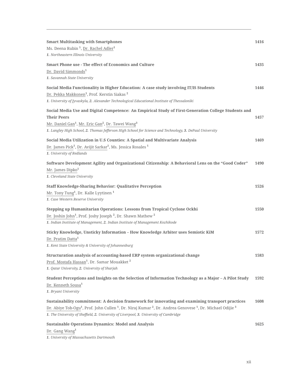| <b>Smart Multitasking with Smartphones</b><br>Ms. Deena Rubin <sup>1</sup> , Dr. Rachel Adler <sup>1</sup><br>1. Northeastern Illinois University                                                                                                                                                                                                                 | 1416 |
|-------------------------------------------------------------------------------------------------------------------------------------------------------------------------------------------------------------------------------------------------------------------------------------------------------------------------------------------------------------------|------|
| <b>Smart Phone use - The effect of Economics and Culture</b><br>Dr. David Simmonds <sup>1</sup><br>1. Savannah State University                                                                                                                                                                                                                                   | 1435 |
| Social Media Functionality in Higher Education: A case study involving IT/IS Students<br>Dr. Pekka Makkonen <sup>1</sup> , Prof. Kerstin Siakas <sup>2</sup><br>1. University of Jyvaskyla, 2. Alexander Technological Educational Institute of Thessaloniki                                                                                                      | 1446 |
| Social Media Use and Digital Competence: An Empirical Study of First-Generation College Students and<br><b>Their Peers</b><br>Mr. Daniel Gan <sup>1</sup> , Mr. Eric Gan <sup>2</sup> , Dr. Tawei Wang <sup>3</sup><br>1. Langley High School, 2. Thomas Jefferson High School for Science and Technology, 3. DePaul University                                   | 1457 |
| Social Media Utilization in U.S Counties: A Spatial and Multivariate Analysis<br>Dr. James Pick <sup>1</sup> , Dr. Avijit Sarkar <sup>1</sup> , Ms. Jessica Rosales <sup>1</sup><br>1. University of Redlands                                                                                                                                                     | 1469 |
| Software Development Agility and Organizational Citizenship: A Behavioral Lens on the "Good Coder"<br>Mr. James Dipko <sup>1</sup><br>1. Cleveland State University                                                                                                                                                                                               | 1490 |
| <b>Staff Knowledge-Sharing Behavior: Qualitative Perception</b><br>Mr. Tony Tung <sup>1</sup> , Dr. Kalle Lyytinen <sup>1</sup><br>1. Case Western Reserve University                                                                                                                                                                                             | 1526 |
| Stepping up Humanitarian Operations: Lessons from Tropical Cyclone Ockhi<br>Dr. Joshin John <sup>1</sup> , Prof. Joshy Joseph <sup>2</sup> , Dr. Shawn Mathew <sup>2</sup><br>1. Indian Institute of Management, 2. Indian Institute of Management Kozhikode                                                                                                      | 1550 |
| Sticky Knowledge, Unsticky Information - How Knowledge Arbiter uses Semiotic KiM<br>Dr. Pratim Datta <sup>1</sup><br>1. Kent State University & University of Johannesburg                                                                                                                                                                                        | 1572 |
| Structuration analysis of accounting-based ERP system organizational change<br>Prof. Mostafa Hassan <sup>1</sup> , Dr. Samar Mouakket <sup>2</sup><br>1. Qatar University, 2. University of Sharjah                                                                                                                                                               | 1583 |
| Student Perceptions and Insights on the Selection of Information Technology as a Major - A Pilot Study<br>Dr. Kenneth Sousa <sup>1</sup><br>1. Bryant University                                                                                                                                                                                                  | 1592 |
| Sustainability commitment: A decision framework for innovating and examining transport practices<br>Dr. Abiye Tob-Ogu <sup>1</sup> , Prof. John Cullen <sup>1</sup> , Dr. Niraj Kumar <sup>2</sup> , Dr. Andrea Genovese <sup>1</sup> , Dr. Michael Odijie <sup>3</sup><br>1. The University of Sheffield, 2. University of Liverpool, 3. University of Cambridge | 1608 |
| <b>Sustainable Operations Dynamics: Model and Analysis</b><br>Dr. Gang Wang <sup>1</sup>                                                                                                                                                                                                                                                                          | 1625 |

*1. University of Massachusetts Dartmouth*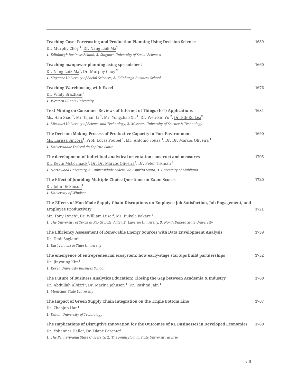| Teaching Case: Forecasting and Production Planning Using Decision Science<br>Dr. Murphy Choy <sup>1</sup> , Dr. Nang Laik Ma <sup>2</sup>                                                                                                                                                                                                      | 1639 |
|------------------------------------------------------------------------------------------------------------------------------------------------------------------------------------------------------------------------------------------------------------------------------------------------------------------------------------------------|------|
| 1. Edinburgh Business School, 2. Singaore University of Social Sciences<br>Teaching manpower planning using spreadsheet<br>Dr. Nang Laik Ma <sup>1</sup> , Dr. Murphy Choy <sup>2</sup><br>1. Singaore University of Social Sciences, 2. Edinburgh Business School                                                                             | 1660 |
| <b>Teaching Warehousing with Excel</b><br>Dr. Vitaly Brazhkin <sup>1</sup><br>1. Western Illinois University                                                                                                                                                                                                                                   | 1676 |
| Text Mining on Consumer Reviews of Internet of Things (IoT) Applications<br>Ms. Han Xiao <sup>1</sup> , Mr. Cijian Li <sup>1</sup> , Mr. Yongzhao Xu <sup>1</sup> , Dr. Wen-Bin Yu <sup>2</sup> , Dr. Bih-Ru Lea <sup>2</sup><br>1. Missouri University of Science and Technology, 2. Missouri University of Science & Technology              | 1684 |
| The Decision Making Process of Productive Capacity in Port Environment<br>Ms. Larissa Sincorá <sup>1</sup> , Prof. Lucas Poubel <sup>1</sup> , Mr. Antonio Souza <sup>1</sup> , Dr. Dr. Marcos Oliveira <sup>1</sup><br>1. Universidade Federal do Espírito Santo                                                                              | 1690 |
| The development of individual analytical orientation construct and measures<br>Dr. Kevin McCormack <sup>1</sup> , Dr. Dr. Marcos Oliveira <sup>2</sup> , Dr. Peter Trkman <sup>3</sup><br>1. Northwood University, 2. Universidade Federal do Espírito Santo, 3. University of Ljubljana                                                       | 1705 |
| The Effect of Jumbling Multiple-Choice Questions on Exam Scores<br>Dr. John Dickinson <sup>1</sup><br>1. University of Windsor                                                                                                                                                                                                                 | 1720 |
| The Effects of Man-Made Supply Chain Disruptions on Employee Job Satisfaction, Job Engagement, and<br><b>Employee Productivity</b><br>Mr. Tony Lynch <sup>1</sup> , Dr. William Luse <sup>2</sup> , Ms. Bukola Bakare <sup>3</sup><br>1. The University of Texas at Rio Grande Valley, 2. Laverne University, 3. North Dakota State University | 1721 |
| The Efficiency Assessment of Renewable Energy Sources with Data Envelopment Analysis<br>Dr. Umit Saglam <sup>1</sup><br>1. East Tennessee State University                                                                                                                                                                                     | 1739 |
| The emergence of entrepreneurial ecosystem: how early-stage startups build partnerships<br>Dr. Jinyoung Kim <sup>1</sup><br>1. Korea University Business School                                                                                                                                                                                | 1752 |
| The Future of Business Analytics Education: Closing the Gap between Academia & Industry<br>Dr. Abdullah Albizri <sup>1</sup> , Dr. Marina Johnson <sup>1</sup> , Dr. Rashmi Jain <sup>1</sup><br>1. Montclair State University                                                                                                                 | 1760 |
| The Impact of Green Supply Chain Integration on the Triple Bottom Line<br>Dr. Zhaojun Han <sup>1</sup><br>1. Dalian University of Technology                                                                                                                                                                                                   | 1767 |
| The Implications of Disruptive Innovation for the Outcomes of RE Businesses in Developed Economies<br>Dr. Yohannes Haile <sup>1</sup> , Dr. Diane Parente <sup>2</sup><br>1. The Pennsylvania State University, 2. The Pennsylvania State University at Erie                                                                                   | 1780 |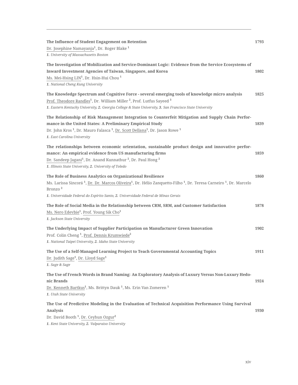| The Influence of Student Engagement on Retention<br>Dr. Josephine Namayanja <sup>1</sup> , Dr. Roger Blake <sup>1</sup><br>1. University of Massachusetts Boston                                                                                                                                                                              | 1793 |
|-----------------------------------------------------------------------------------------------------------------------------------------------------------------------------------------------------------------------------------------------------------------------------------------------------------------------------------------------|------|
| The Investigation of Mobilization and Service-Dominant Logic: Evidence from the Service Ecosystems of<br>Inward Investment Agencies of Taiwan, Singapore, and Korea<br>Ms. Mei-Hsing LIN <sup>1</sup> , Dr. Hsin-Hui Chou <sup>1</sup><br>1. National Cheng Kung University                                                                   | 1802 |
| The Knowledge Spectrum and Cognitive Force - several emerging tools of knowledge micro analysis<br>Prof. Theodore Randles <sup>1</sup> , Dr. William Miller <sup>2</sup> , Prof. Lutfus Sayeed <sup>3</sup><br>1. Eastern Kentucky University, 2. Georgia College & State University, 3. San Francisco State University                       | 1825 |
| The Relationship of Risk Management Integration to Counterfeit Mitigation and Supply Chain Perfor-<br>mance in the United States: A Preliminary Empirical Study<br>Dr. John Kros <sup>1</sup> , Dr. Mauro Falasca <sup>1</sup> , Dr. Scott Dellana <sup>1</sup> , Dr. Jason Rowe <sup>1</sup><br>1. East Carolina University                  | 1839 |
| The relationships between economic orientation, sustainable product design and innovative perfor-<br>mance: An empirical evidence from US manufacturing firms<br>Dr. Sandeep Jagani <sup>1</sup> , Dr. Anand Kunnathur <sup>2</sup> , Dr. Paul Hong <sup>2</sup><br>1. Illinois State University, 2. University of Toledo                     | 1859 |
| The Role of Business Analytics on Organizational Resilience<br>Ms. Larissa Sincorá <sup>1</sup> , Dr. Dr. Marcos Oliveira <sup>1</sup> , Dr. Hélio Zanquetto-Filho <sup>1</sup> , Dr. Teresa Carneiro <sup>1</sup> , Dr. Marcelo<br>Bronzo <sup>2</sup><br>1. Universidade Federal do Espírito Santo, 2. Universidade Federal de Minas Gerais | 1860 |
| The Role of Social Media in the Relationship between CRM, SRM, and Customer Satisfaction<br>Ms. Nero Edevbie <sup>1</sup> , Prof. Young Sik Cho <sup>1</sup><br>1. Jackson State University                                                                                                                                                   | 1878 |
| The Underlying Impact of Supplier Participation on Manufacturer Green Innovation<br>Prof. Colin Cheng <sup>1</sup> , Prof. Dennis Krumwiede <sup>2</sup><br>1. National Taipei University, 2. Idaho State University                                                                                                                          | 1902 |
| The Use of a Self-Managed Learning Project to Teach Governmental Accounting Topics<br>Dr. Judith Sage <sup>1</sup> , Dr. Lloyd Sage <sup>1</sup><br>1. Sage & Sage                                                                                                                                                                            | 1911 |
| The Use of French Words in Brand Naming: An Exploratory Analysis of Luxury Versus Non-Luxury Hedo-<br>nic Brands<br>Dr. Kenneth Bartkus <sup>1</sup> , Ms. Brittyn Dauk <sup>1</sup> , Ms. Erin Van Zomeren <sup>1</sup><br>1. Utah State University                                                                                          | 1924 |
| The Use of Predictive Modeling in the Evaluation of Technical Acquisition Performance Using Survival<br><b>Analysis</b><br>Dr. David Booth <sup>1</sup> , Dr. Ceyhun Ozgur <sup>2</sup><br>1. Kent State University, 2. Valparaiso University                                                                                                 | 1930 |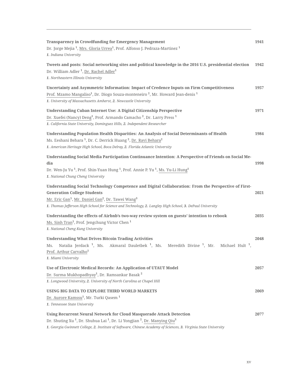| <b>Transparency in Crowdfunding for Emergency Management</b><br>Dr. Jorge Mejia <sup>1</sup> , Mrs. Gloria Urrea <sup>1</sup> , Prof. Alfonso J. Pedraza-Martinez <sup>1</sup><br>1. Indiana University                                                                                                                                         | 1941 |
|-------------------------------------------------------------------------------------------------------------------------------------------------------------------------------------------------------------------------------------------------------------------------------------------------------------------------------------------------|------|
| Tweets and posts: Social networking sites and political knowledge in the 2016 U.S. presidential election<br>Dr. William Adler <sup>1</sup> , Dr. Rachel Adler <sup>1</sup><br>1. Northeastern Illinois University                                                                                                                               | 1942 |
| Uncertainty and Asymmetric Information: Impact of Credence Inputs on Firm Competitiveness<br>Prof. Mzamo Mangaliso <sup>1</sup> , Dr. Diogo Souza-monteneiro <sup>2</sup> , Mr. Howard Jean-denis <sup>1</sup><br>1. University of Massachusetts Amherst, 2. Newcastle University                                                               | 1957 |
| Understanding Cuban Internet Use: A Digital Citizenship Perspective<br>Dr. Xuefei (Nancy) Deng <sup>1</sup> , Prof. Armando Camacho <sup>2</sup> , Dr. Larry Press <sup>1</sup><br>1. California State University, Dominguez Hills, 2. Independent Researcher                                                                                   | 1971 |
| Understanding Population Health Disparities: An Analysis of Social Determinants of Health<br>Ms. Eeshani Behara <sup>1</sup> , Dr. C. Derrick Huang <sup>2</sup> , Dr. Ravi Behara <sup>2</sup><br>1. American Heritage High School, Boca Delray, 2. Florida Atlantic University                                                                | 1984 |
| Understanding Social Media Participation Continuance Intention: A Perspective of Friends on Social Me-<br>dia<br>Dr. Wen-Ju Yu <sup>1</sup> , Prof. Shin-Yuan Hung <sup>1</sup> , Prof. Annie P. Yu <sup>1</sup> , Ms. Yu-Li Hung <sup>1</sup><br>1. National Chung Cheng University                                                            | 1998 |
| Understanding Social Technology Competence and Digital Collaboration: From the Perspective of First-<br><b>Generation College Students</b><br>Mr. Eric Gan <sup>1</sup> , Mr. Daniel Gan <sup>2</sup> , Dr. Tawei Wang <sup>3</sup><br>1. Thomas Jefferson High School for Science and Technology, 2. Langley High School, 3. DePaul University | 2021 |
| Understanding the effects of Airbnb's two-way review system on guests' intention to rebook<br>Ms. Sinh Tran <sup>1</sup> , Prof. Jengchung Victor Chen <sup>1</sup><br>1. National Cheng Kung University                                                                                                                                        | 2035 |
| <b>Understanding What Drives Bitcoin Trading Activities</b><br>Natalia Jerdack <sup>1</sup> , Ms.<br>Akmaral Dauletbek <sup>1</sup> , Ms.<br>Meredith Divine $^1$ , Mr.<br>Michael Hult $1$ ,<br>Ms.<br>Prof. Arthur Carvalho <sup>1</sup><br>1. Miami University                                                                               | 2048 |
| Use of Electronic Medical Records: An Application of UTAUT Model<br>Dr. Surma Mukhopadhyay <sup>1</sup> , Dr. Ramsankar Basak <sup>2</sup><br>1. Longwood University, 2. University of North Carolina at Chapel Hill                                                                                                                            | 2057 |
| USING BIG DATA TO EXPLORE THIRD WORLD MARKETS<br>Dr. Aurore Kamssu <sup>1</sup> , Mr. Turki Qasem <sup>1</sup><br>1. Tennessee State University                                                                                                                                                                                                 | 2069 |
| Using Recurrent Neural Network for Cloud Masquerade Attack Detection<br>Dr. Shuting Xu <sup>1</sup> , Dr. Shuhua Lai <sup>1</sup> , Dr. Li Yongjian <sup>2</sup> , Dr. Manying Qiu <sup>3</sup><br>1. Georgia Gwinnett College, 2. Institute of Software, Chinese Academy of Sciences, 3. Virginia State University                             | 2077 |